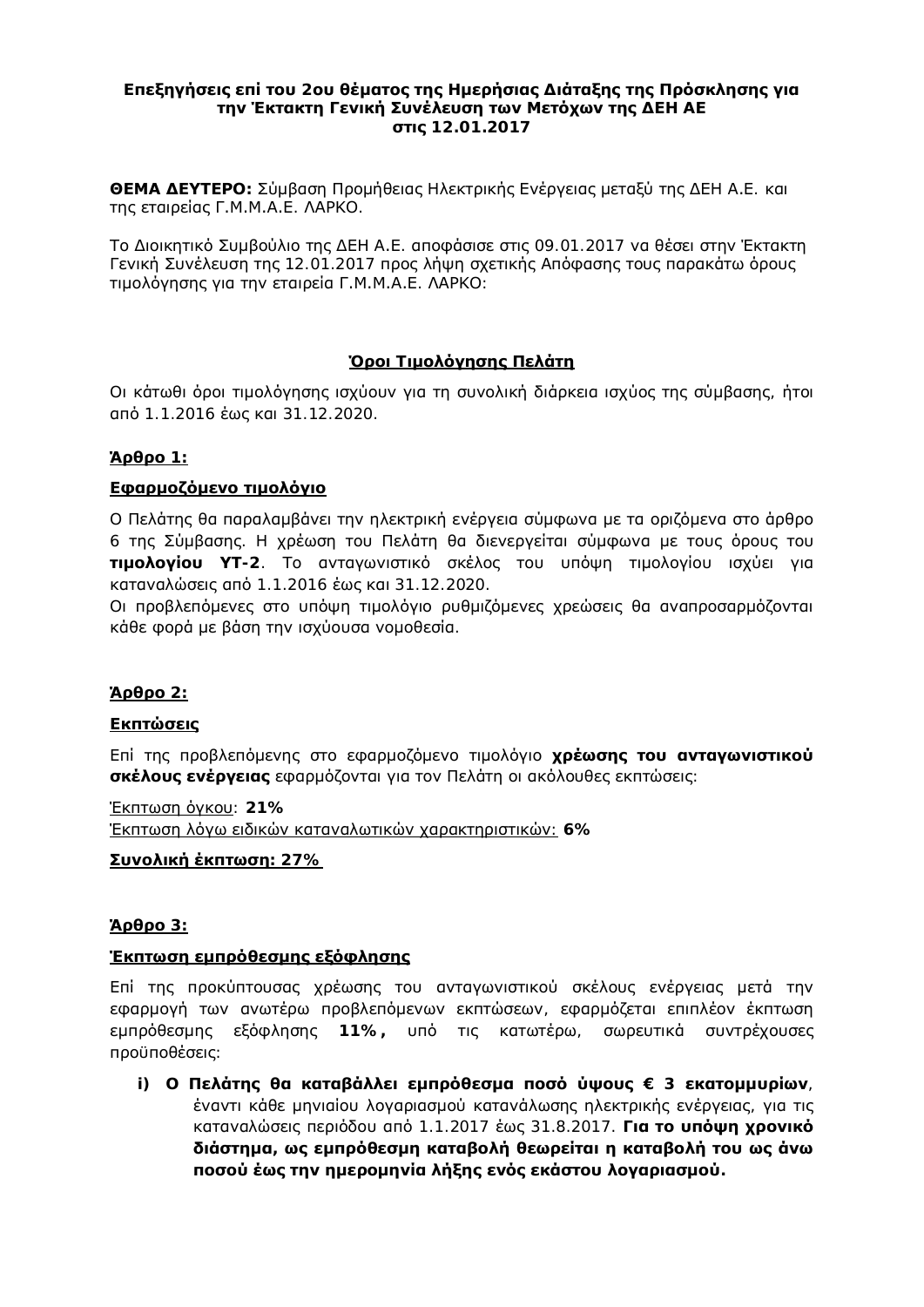#### **Επεξηγήσεις επί του 2ου θέματος της Ημερήσιας Διάταξης της Πρόσκλησης για ΙΤην Έκτακτη Γενική Συνέλευση των Μετόχων της ΔΕΗ ΑΕ** *<u>otic*</u> 12.01.2017

**ΘΕΜΑ ΔΕΥΤΕΡΟ**: Σύμβαση Προμήθειας Ηλεκτρικής Ενέργειας μεταξύ της ΔΕΗ Α.Ε. και της εταιρείας Γ.Μ.Μ.Α.Ε. ΛΑΡΚΟ.

Το Διοικητικό Συμβούλιο της ΔΕΗ Α.Ε. αποφάσισε στις 09.01.2017 να θέσει στην Έκτακτη Γενική Συνέλευση της 12.01.2017 προς λήψη σχετικής Απόφασης τους παρακάτω όρους τιμολόγησης για την εταιρεία Γ.Μ.Μ.Α.Ε. ΛΑΡΚΟ:

### **<u>Όροι Τιμολόνησης Πελάτη</u>**

Οι κάτωθι όροι τιμολόγησης ισχύουν για τη συνολική διάρκεια ισχύος της σύμβασης, ήτοι από 1.1.2016 έως και 31.12.2020.

# **i** 1: **a**

# **Εφαρμοζόμενο τιμολόνιο**

Ο Πελάτης θα παραλαμβάνει την ηλεκτρική ενέργεια σύμφωνα με τα οριζόμενα στο άρθρο 6 της Σύμβασης. Η χρέωση του Πελάτη θα διενεργείται σύμφωνα με τους όρους του **ΓΙμολογίου ΥΤ**-2. Το ανταγωνιστικό σκέλος του υπόψη τιμολογίου ισχύει για καταναλώσεις από 1.1.2016 έως και 31.12.2020.

Οι προβλεπόμενες στο υπόψη τιμολόγιο ρυθμιζόμενες χρεώσεις θα αναπροσαρμόζονται κάθε φορά με βάση την ισχύουσα νομοθεσία.

### $$

### **Εκπτώσεις**

Επί της προβλεπόμενης στο εφαρμοζόμενο τιμολόγιο χρέωσης του ανταγωνιστικού **σκέλους ενέργειας** εφαρμόζονται για τον Πελάτη οι ακόλουθες εκπτώσεις:

 $'$ Εκπτωση όγκου: 21% IEκητωση λόγω ειδικών καταναλωτικών χαρακτηριστικών: 6%

### **Συνολική έκπτωση**: 27%

### $$

### <u>Ἐκπτωση εμπρόθεσμης εξόφλησης</u>

Επί της προκύπτουσας χρέωσης του ανταγωνιστικού σκέλους ενέργειας μετά την εφαρμογή των ανωτέρω προβλεπόμενων εκπτώσεων, εφαρμόζεται επιπλέον έκπτωση εμπρόθεσμης εξόφλησης 11%, υπό τις κατωτέρω, σωρευτικά συντρέχουσες προϋποθέσεις:

**i) Ο Πελάτης θα καταβάλλει εμπρόθεσμα ποσό ύψους € 3 εκατομμυρίων,** έναντι κάθε μηνιαίου λογαριασμού κατανάλωσης ηλεκτρικής ενέργειας, για τις καταναλώσεις περιόδου από 1.1.2017 έως 31.8.2017. **Για το υπόψη χρονικό**  $\delta$ ιάστημα, ως εμπρόθεσμη καταβολή θεωρείται η καταβολή του ως ἀνω Ποσού ἑως την ημερομηνία λήξης ενός εκάστου λογαριασμού.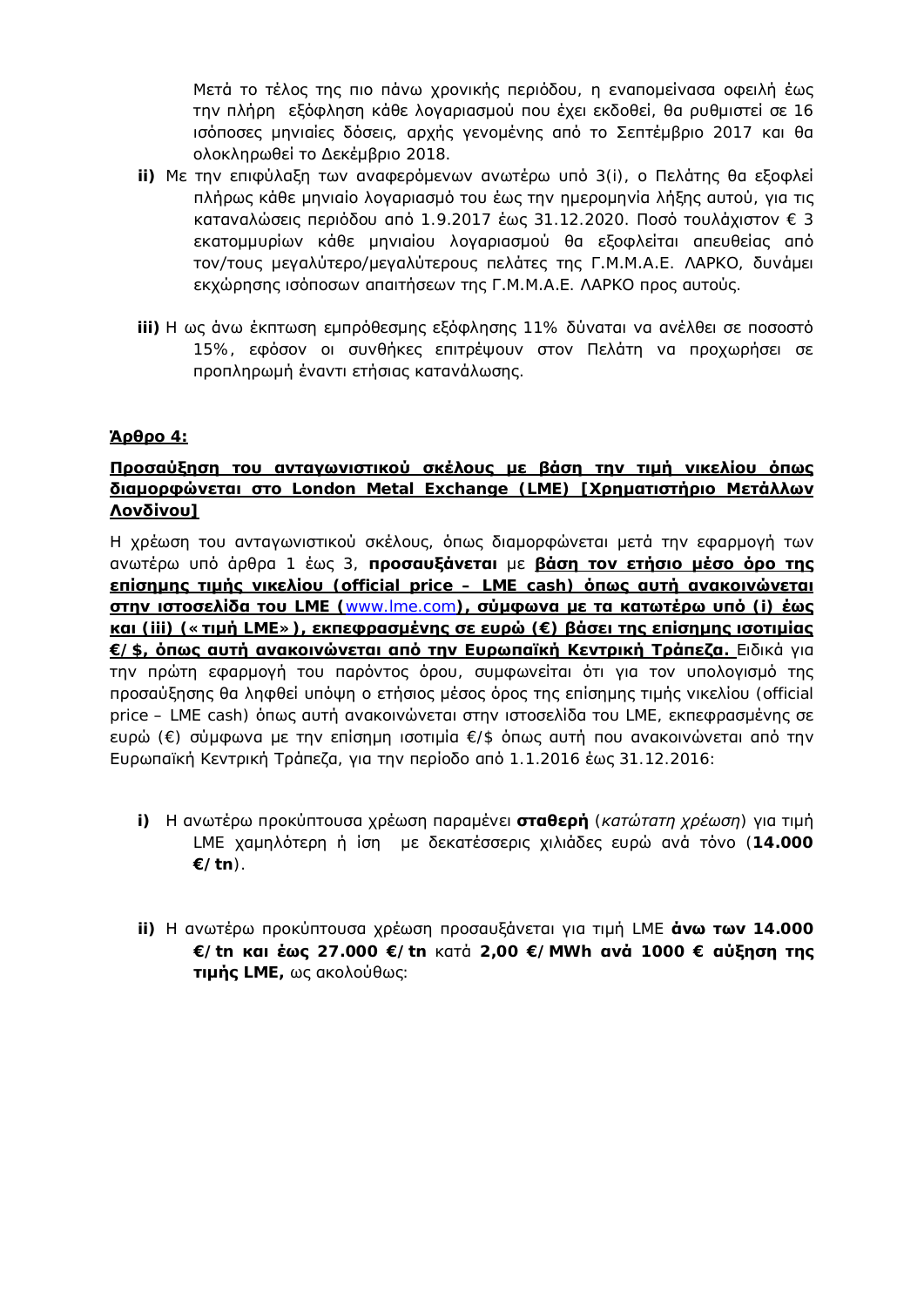Μετά το τέλος της πιο πάνω χρονικής περιόδου, η εναπομείνασα οφειλή έως την πλήρη εξόφληση κάθε λογαριασμού που έχει εκδοθεί, θα ρυθμιστεί σε 16 ισόποσες μηνιαίες δόσεις, αρχής γενομένης από το Σεπτέμβριο 2017 και θα ολοκληρωθεί το Δεκέμβριο 2018.

- ii) Με την επιφύλαξη των αναφερόμενων ανωτέρω υπό 3(i), ο Πελάτης θα εξοφλεί nλήρως κάθε μηνιαίο λογαριασμό του έως την ημερομηνία λήξης αυτού, για τις  $\kappa$ αταναλώσεις περιόδου από 1.9.2017 έως 31.12.2020. Ποσό τουλάχιστον  $\in$  3 εκατομμυρίων κάθε μηνιαίου λογαριασμού θα εξοφλείται απευθείας από ΤΟΥ/ΤΟυς μεγαλύτερο/μεγαλύτερους πελάτες της Γ.Μ.Μ.Α.Ε. ΛΑΡΚΟ, δυνάμει εκχώρησης ισόποσων απαιτήσεων της Γ.Μ.Μ.Α.Ε. ΛΑΡΚΟ προς αυτούς.
- iii) Η ως άνω έκπτωση εμπρόθεσμης εξόφλησης 11% δύναται να ανέλθει σε ποσοστό 15%, εφόσον οι συνθήκες επιτρέψουν στον Πελάτη να προχωρήσει σε προπληρωμή έναντι ετήσιας κατανάλωσης.

### **φθρο** 4:

# Προσαύξηση του ανταγωνιστικού σκέλους με βάση την τιμή νικελίου όπως **διαμορφώνεται στο** London Metal Exchange (LME) [Χρηματιστήριο Μετάλλων <u>Λονδίνου]</u>

Η χρέωση του ανταγωνιστικού σκέλους, όπως διαμορφώνεται μετά την εφαρμογή των ανωτέρω υπό άρθρα 1 έως 3, **προσαυξάνεται** με βάση τον ετήσιο μέσο όρο της **<u><b>επίσημης τιμής νικελίου** (official price – LME cash) **όπως αυτή ανακοινώνεται**</u> **<u>στην ιστοσελίδα του LME ([www.lme.com](http://www.lme.com/))</u>, σύμφωνα με τα κατωτέρω υπό (i) έως <u>lii) (« τιμή LME»), εκπεφρασμένης σε ευρώ (** $\in$ **) βάσει της επίσημης ισοτιμίας</u>**  $E/S$ , **όπως αυτή ανακοινώνεται από την Ευρωπαϊκή Κεντρική Τράπεζα. Ειδικά για** Inv πρώτη εφαρμογή του παρόντος όρου, συμφωνείται ότι για τον υπολογισμό της προσαύξησης θα ληφθεί υπόψη ο ετήσιος μέσος όρος της επίσημης τιμής νικελίου (official price – LME cash) όπως αυτή ανακοινώνεται στην ιστοσελίδα του LME, εκπεφρασμένης σε ευρώ (€) σύμφωνα με την επίσημη ισοτιμία €/\$ όπως αυτή που ανακοινώνεται από την Eυρωπαϊκή Κεντρική Τράπεζα, για την περίοδο από 1.1.2016 έως 31.12.2016:

- i) Η ανωτέρω προκύπτουσα χρέωση παραμένει **σταθερή** (*κατώτατη χρέωση*) για τιμή LME χαμηλότερη ή ίση με δεκατέσσερις χιλιάδες ευρώ ανά τόνο (14.000 **€/tn**).
- ii) Η ανωτέρω προκύπτουσα χρέωση προσαυξάνεται για τιμή LME **άνω των** 14.000 **€/tn ljĮLj ƿǔǐ 27.000 €/tn** ljĮIJƾ **2,00 €/MWh Įnjƾ 1000 € ĮǘǍdžıdž IJdžǐ** *IIμής* LME, ως ακολούθως: